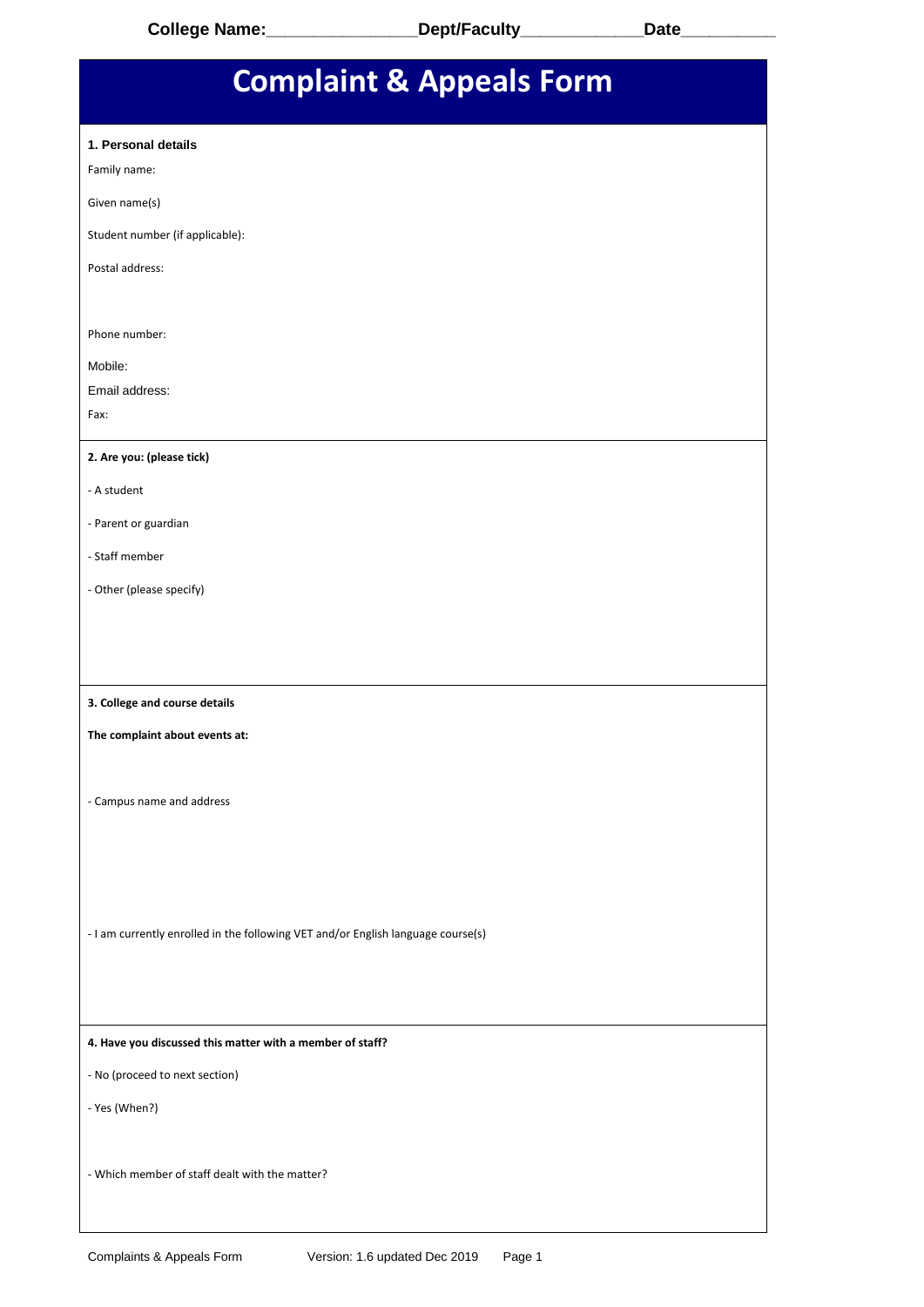| <b>Complaint &amp; Appeals Form</b>                                              |  |  |
|----------------------------------------------------------------------------------|--|--|
| 1. Personal details<br>Family name:                                              |  |  |
| Given name(s)                                                                    |  |  |
| Student number (if applicable):                                                  |  |  |
| Postal address:                                                                  |  |  |
| Phone number:                                                                    |  |  |
| Mobile:                                                                          |  |  |
| Email address:<br>Fax:                                                           |  |  |
|                                                                                  |  |  |
| 2. Are you: (please tick)                                                        |  |  |
| - A student                                                                      |  |  |
| - Parent or guardian                                                             |  |  |
| - Staff member                                                                   |  |  |
| - Other (please specify)                                                         |  |  |
|                                                                                  |  |  |
| 3. College and course details                                                    |  |  |
| The complaint about events at:                                                   |  |  |
| - Campus name and address                                                        |  |  |
|                                                                                  |  |  |
| - I am currently enrolled in the following VET and/or English language course(s) |  |  |
| 4. Have you discussed this matter with a member of staff?                        |  |  |
| - No (proceed to next section)                                                   |  |  |
| - Yes (When?)                                                                    |  |  |
| - Which member of staff dealt with the matter?                                   |  |  |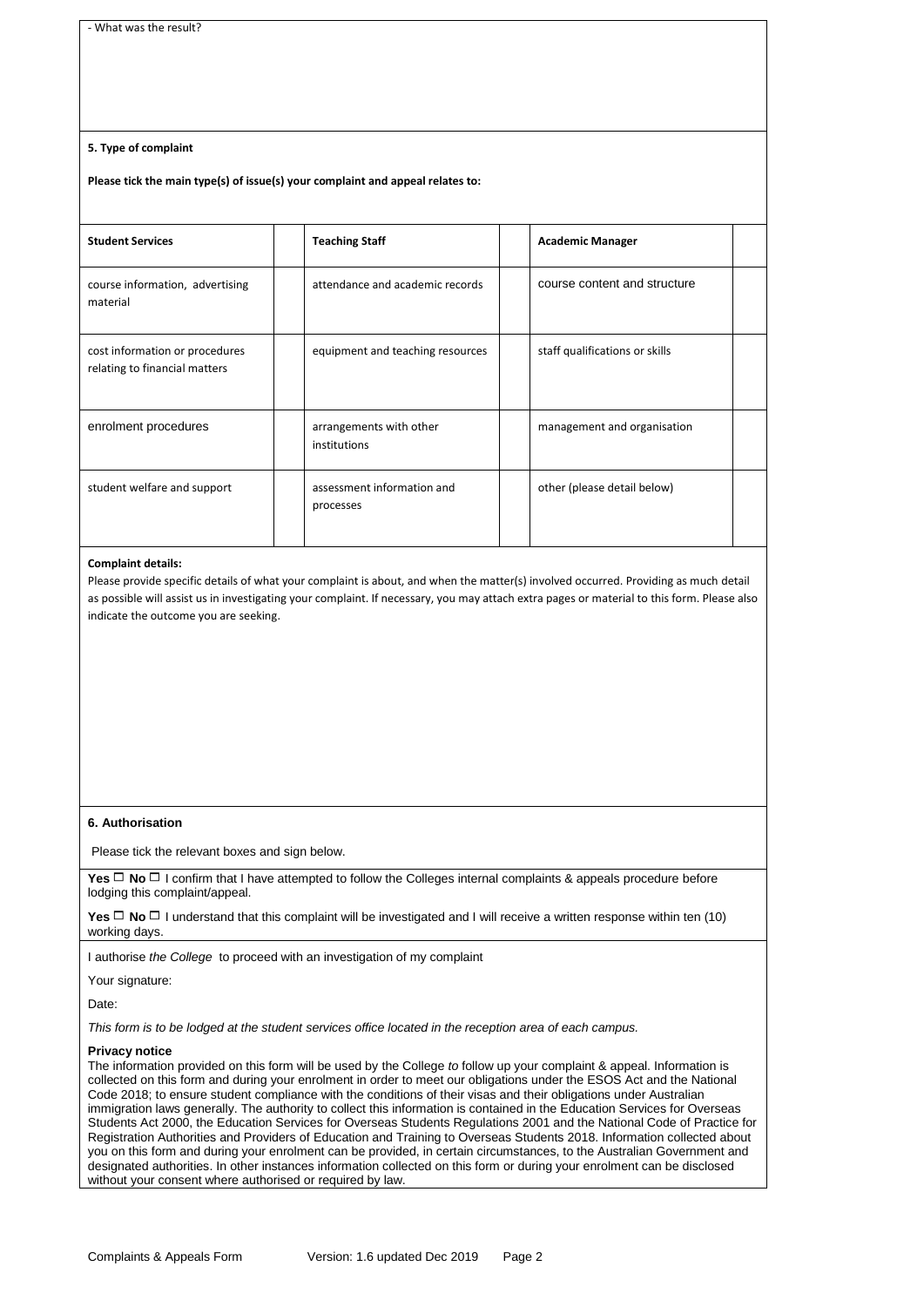# **5. Type of complaint**

### **Please tick the main type(s) of issue(s) your complaint and appeal relates to:**

| <b>Student Services</b>                                         | <b>Teaching Staff</b>                   | <b>Academic Manager</b>        |  |
|-----------------------------------------------------------------|-----------------------------------------|--------------------------------|--|
| course information, advertising<br>material                     | attendance and academic records         | course content and structure   |  |
| cost information or procedures<br>relating to financial matters | equipment and teaching resources        | staff qualifications or skills |  |
| enrolment procedures                                            | arrangements with other<br>institutions | management and organisation    |  |
| student welfare and support                                     | assessment information and<br>processes | other (please detail below)    |  |

#### **Complaint details:**

Please provide specific details of what your complaint is about, and when the matter(s) involved occurred. Providing as much detail as possible will assist us in investigating your complaint. If necessary, you may attach extra pages or material to this form. Please also indicate the outcome you are seeking.

## **6. Authorisation**

Please tick the relevant boxes and sign below.

**Yes**  $\Box$  **No**  $\Box$  **I confirm that I have attempted to follow the Colleges internal complaints & appeals procedure before** lodging this complaint/appeal.

**Yes**  $\Box$  **No**  $\Box$  **I understand that this complaint will be investigated and I will receive a written response within ten (10)** working days.

I authorise *the College* to proceed with an investigation of my complaint

Your signature:

Date:

*This form is to be lodged at the student services office located in the reception area of each campus.*

#### **Privacy notice**

The information provided on this form will be used by the College *to* follow up your complaint & appeal. Information is collected on this form and during your enrolment in order to meet our obligations under the ESOS Act and the National Code 2018; to ensure student compliance with the conditions of their visas and their obligations under Australian immigration laws generally. The authority to collect this information is contained in the Education Services for Overseas Students Act 2000, the Education Services for Overseas Students Regulations 2001 and the National Code of Practice for Registration Authorities and Providers of Education and Training to Overseas Students 2018. Information collected about you on this form and during your enrolment can be provided, in certain circumstances, to the Australian Government and designated authorities. In other instances information collected on this form or during your enrolment can be disclosed without your consent where authorised or required by law.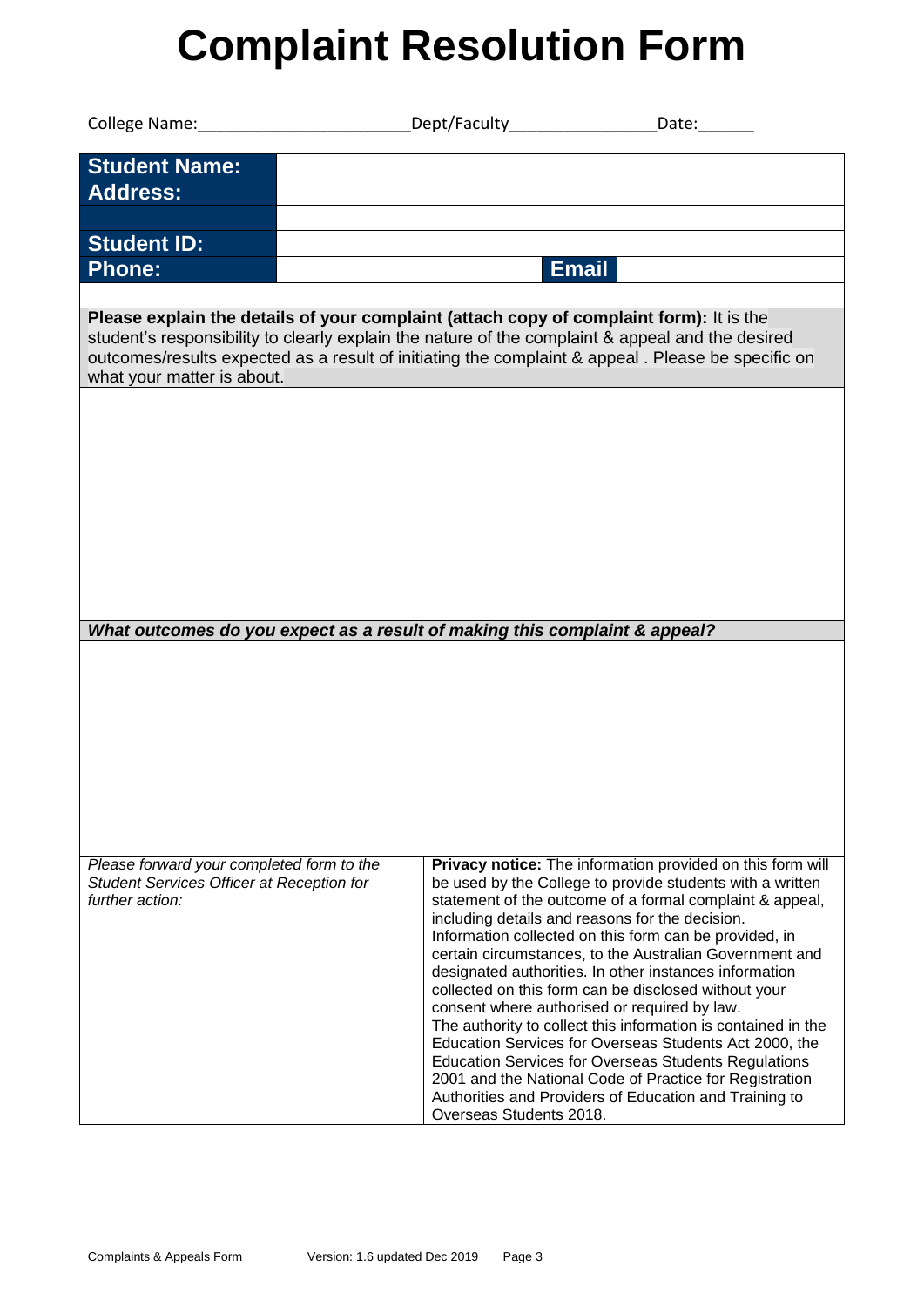# **Complaint Resolution Form**

| College Name: College Name: College Name: College Name:                                                                                                                                                                                                                                                                         |                                                                                                      |                                                                                                                         |
|---------------------------------------------------------------------------------------------------------------------------------------------------------------------------------------------------------------------------------------------------------------------------------------------------------------------------------|------------------------------------------------------------------------------------------------------|-------------------------------------------------------------------------------------------------------------------------|
| <b>Student Name:</b>                                                                                                                                                                                                                                                                                                            |                                                                                                      |                                                                                                                         |
| <b>Address:</b>                                                                                                                                                                                                                                                                                                                 |                                                                                                      |                                                                                                                         |
| <b>Student ID:</b>                                                                                                                                                                                                                                                                                                              |                                                                                                      |                                                                                                                         |
| <b>Phone:</b>                                                                                                                                                                                                                                                                                                                   | <b>Email</b>                                                                                         |                                                                                                                         |
|                                                                                                                                                                                                                                                                                                                                 |                                                                                                      |                                                                                                                         |
| Please explain the details of your complaint (attach copy of complaint form): It is the<br>student's responsibility to clearly explain the nature of the complaint & appeal and the desired<br>outcomes/results expected as a result of initiating the complaint & appeal . Please be specific on<br>what your matter is about. |                                                                                                      |                                                                                                                         |
|                                                                                                                                                                                                                                                                                                                                 |                                                                                                      |                                                                                                                         |
|                                                                                                                                                                                                                                                                                                                                 |                                                                                                      |                                                                                                                         |
|                                                                                                                                                                                                                                                                                                                                 |                                                                                                      |                                                                                                                         |
|                                                                                                                                                                                                                                                                                                                                 |                                                                                                      |                                                                                                                         |
|                                                                                                                                                                                                                                                                                                                                 |                                                                                                      |                                                                                                                         |
|                                                                                                                                                                                                                                                                                                                                 |                                                                                                      |                                                                                                                         |
|                                                                                                                                                                                                                                                                                                                                 |                                                                                                      |                                                                                                                         |
| What outcomes do you expect as a result of making this complaint & appeal?                                                                                                                                                                                                                                                      |                                                                                                      |                                                                                                                         |
|                                                                                                                                                                                                                                                                                                                                 |                                                                                                      |                                                                                                                         |
|                                                                                                                                                                                                                                                                                                                                 |                                                                                                      |                                                                                                                         |
|                                                                                                                                                                                                                                                                                                                                 |                                                                                                      |                                                                                                                         |
|                                                                                                                                                                                                                                                                                                                                 |                                                                                                      |                                                                                                                         |
|                                                                                                                                                                                                                                                                                                                                 |                                                                                                      |                                                                                                                         |
|                                                                                                                                                                                                                                                                                                                                 |                                                                                                      |                                                                                                                         |
|                                                                                                                                                                                                                                                                                                                                 |                                                                                                      |                                                                                                                         |
| Please forward your completed form to the<br>Student Services Officer at Reception for                                                                                                                                                                                                                                          |                                                                                                      | Privacy notice: The information provided on this form will<br>be used by the College to provide students with a written |
| further action:                                                                                                                                                                                                                                                                                                                 | including details and reasons for the decision.                                                      | statement of the outcome of a formal complaint & appeal,                                                                |
|                                                                                                                                                                                                                                                                                                                                 |                                                                                                      | Information collected on this form can be provided, in                                                                  |
|                                                                                                                                                                                                                                                                                                                                 |                                                                                                      | certain circumstances, to the Australian Government and<br>designated authorities. In other instances information       |
|                                                                                                                                                                                                                                                                                                                                 | collected on this form can be disclosed without your<br>consent where authorised or required by law. |                                                                                                                         |
|                                                                                                                                                                                                                                                                                                                                 |                                                                                                      | The authority to collect this information is contained in the                                                           |
|                                                                                                                                                                                                                                                                                                                                 |                                                                                                      | Education Services for Overseas Students Act 2000, the<br><b>Education Services for Overseas Students Regulations</b>   |
|                                                                                                                                                                                                                                                                                                                                 |                                                                                                      | 2001 and the National Code of Practice for Registration<br>Authorities and Providers of Education and Training to       |
|                                                                                                                                                                                                                                                                                                                                 | Overseas Students 2018.                                                                              |                                                                                                                         |